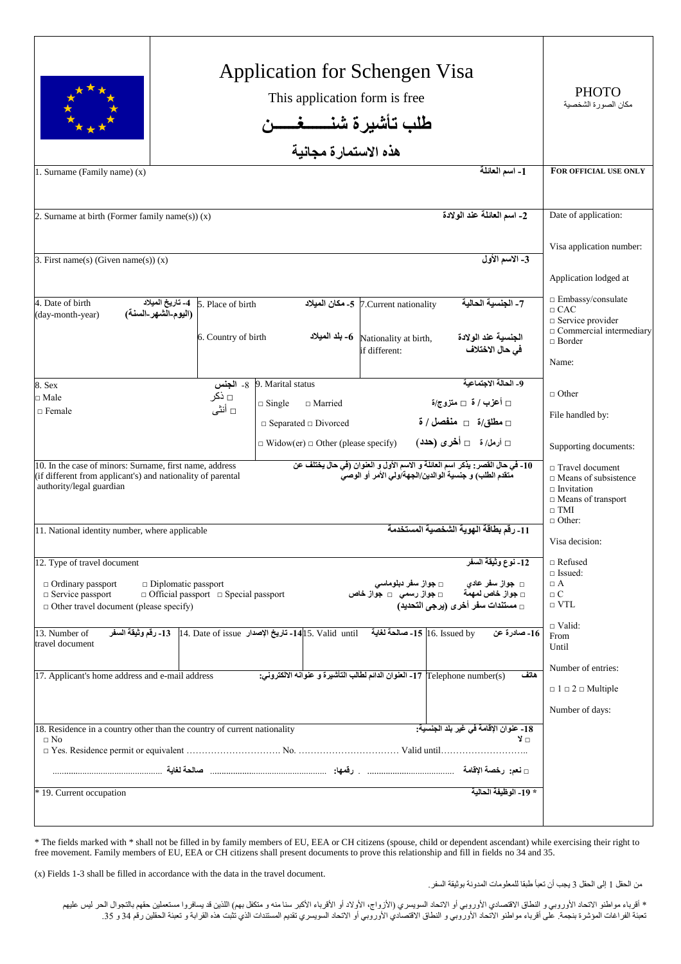|                                                                                                                                                                                                                       | <b>PHOTO</b><br>مكان الصورة الشخصية                                                      |                                                                                                                                                                                                                                                             |                                                                                                                                          |
|-----------------------------------------------------------------------------------------------------------------------------------------------------------------------------------------------------------------------|------------------------------------------------------------------------------------------|-------------------------------------------------------------------------------------------------------------------------------------------------------------------------------------------------------------------------------------------------------------|------------------------------------------------------------------------------------------------------------------------------------------|
| 1. Surname (Family name) (x)                                                                                                                                                                                          |                                                                                          | 1- اسم العائلة                                                                                                                                                                                                                                              | FOR OFFICIAL USE ONLY                                                                                                                    |
| 2. Surname at birth (Former family name(s)) $(x)$                                                                                                                                                                     |                                                                                          | 2- اسم العائلة عند الولادة                                                                                                                                                                                                                                  | Date of application:                                                                                                                     |
| 3. First name(s) (Given name(s)) $(x)$                                                                                                                                                                                |                                                                                          | 3- الاسم الأول                                                                                                                                                                                                                                              | Visa application number:<br>Application lodged at                                                                                        |
| 4. Date of birth<br>(day-month-year)                                                                                                                                                                                  | 5. Place of birth - تاريخ الميلاد<br>(اليوم-الشهر-السنة)<br>6. Country of birth          | 7- الحنسبة الحالبة<br>7.Current nationality. 7- مكان الميلاد<br>4- بلد الميلاد -6 $\,$ Nationality at birth,<br>الجنسية عند الولادة<br>في حال الاختلاف<br>if different:                                                                                     | $\Box$ Embassy/consulate<br>$\Box$ CAC<br>$\Box$ Service provider<br>$\Box$ Commercial intermediary<br>$\Box$ Border                     |
| 8. Sex<br>□ Male<br>$\Box$ Female                                                                                                                                                                                     | 8- الجنس<br>⊟ ذکر<br>□ أنثي                                                              | 9- الحالة الاجتماعية<br>9. Marital status<br>□ أعزب / ة  □ متزوج/ة<br>$\Box$ Single<br>$\Box$ Married<br>$\sim$ اسطلق/ة $\sim$ منفصل / ة<br>$\Box$ Separated $\Box$ Divorced<br>□ أرمل/ ة    □ أخرى (حدد)<br>$\Box$ Widow(er) $\Box$ Other (please specify) | Name:<br>$\Box$ Other<br>File handled by:<br>Supporting documents:                                                                       |
| 10. In the case of minors: Surname, first name, address<br>(if different from applicant's) and nationality of parental<br>authority/legal guardian<br>11. National identity number, where applicable                  |                                                                                          | 10_ في حال القصر : يذكر اسم العائلة و الاسم الأول و العنوان (في حال يختلف عن<br>متقدم الطلب) و جنسية الوالدين/الجهة/ولى الأمر أو الوصى<br>11- رقم بطاقة الهوية الشخصية المستخدمة                                                                            | $\Box$ Travel document<br>$\Box$ Means of subsistence<br>$\sqcap$ Invitation<br>$\Box$ Means of transport<br>$\Box$ TMI<br>$\Box$ Other: |
| 12. Type of travel document<br>$\Box$ Ordinary passport<br>$\Box$ Diplomatic passport<br>$\Box$ Official passport $\Box$ Special passport<br>$\Box$ Service passport<br>$\Box$ Other travel document (please specify) | Visa decision:<br>$\Box$ Refused<br>$\Box$ Issued:<br>$\Box$ A<br>$\Box$ C<br>$\Box$ VTL |                                                                                                                                                                                                                                                             |                                                                                                                                          |
| 13. Number of<br>travel document<br>17. Applicant's home address and e-mail address                                                                                                                                   |                                                                                          | l6. Issued by- صالحة لغاية     14 15. Valid  until - تاريخ الإصدار   14. Date of issue إ14. رقم وثيقة السفر<br>16- صادرة عن<br>[2] Telephone number(s) 17- العنوان الدائم لطالب التأشيرة و عنوانه الالكتروني:<br>هاتف                                       | $\Box$ Valid:<br>From<br>Until<br>Number of entries:<br>$\Box$ 1 $\Box$ 2 $\Box$ Multiple                                                |
| 18. Residence in a country other than the country of current nationality<br>$\Box$ No<br>* 19. Current occupation                                                                                                     |                                                                                          | 18- عنوان الإقامة في غير بلد الجنسية:<br>⊓ لا<br>* 19- الوظيفة الحالبة                                                                                                                                                                                      | Number of days:                                                                                                                          |

\* The fields marked with \* shall not be filled in by family members of EU, EEA or CH citizens (spouse, child or dependent ascendant) while exercising their right to free movement. Family members of EU, EEA or CH citizens shall present documents to prove this relationship and fill in fields no 34 and 35.

(x) Fields 1-3 shall be filled in accordance with the data in the travel document.

من الحقل 1 إلى الحقل 3 يجب أن تعبأ طبقا للمعلومات المدونة بوثيقة السفر.

\* أقرباء مواطنو الاتحاد الأوروبي و النطاق الاقتصادي الأوروبي أو الأتساد السهر الألفران الأكبر سنامنه و متكفل بهم) اللذين قد يسافروا مستعملين حقهم بالتجوال الحر ليس عليهم تعبئة الفراغات المؤشرة بنجمة. على أقرباء مواطنو الاتحاد الأوروبي الوالغربي أو الاتحاد السويسري تقديم المستندات الذي تثبت هذه القرابة و تعبئة الحقلين رقم 34 و 35.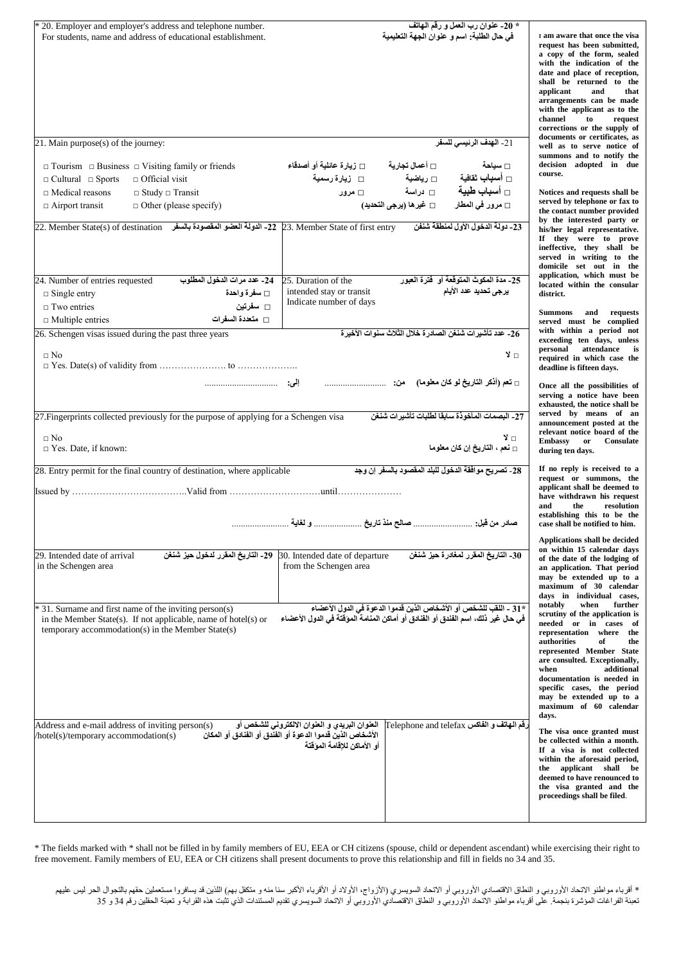| * 20. Employer and employer's address and telephone number.<br>For students, name and address of educational establishment.                                                         | * 20- عنوان رب العمل و رقم الـهاتف<br>في حال الطلبة: اسم و عنوان الجهة التعليمية                                                                                                          | I am aware that once the visa<br>request has been submitted,<br>a copy of the form, sealed<br>with the indication of the<br>date and place of reception,<br>shall be returned to the<br>applicant<br>and<br>that<br>arrangements can be made<br>with the applicant as to the<br>channel<br>to<br>request<br>corrections or the supply of                   |
|-------------------------------------------------------------------------------------------------------------------------------------------------------------------------------------|-------------------------------------------------------------------------------------------------------------------------------------------------------------------------------------------|------------------------------------------------------------------------------------------------------------------------------------------------------------------------------------------------------------------------------------------------------------------------------------------------------------------------------------------------------------|
| 21. Main purpose(s) of the journey:                                                                                                                                                 | 21- الهدف الرنيسي للسفر                                                                                                                                                                   | documents or certificates, as<br>well as to serve notice of                                                                                                                                                                                                                                                                                                |
| $\Box$ Tourism $\Box$ Business $\Box$ Visiting family or friends<br>$\Box$ Cultural $\Box$ Sports<br>$\Box$ Official visit<br>$\Box$ Medical reasons<br>$\Box$ Study $\Box$ Transit | $\square$ أعمال تجارية $\square$ زيارة عائلية أو أصدقاء<br>□ سياحة<br>□ أسباب ثقافية<br>□ زيارة رسمية<br>□ رياضية<br><mark>□</mark> دراسة<br>□ أسباب طبية<br>⊡ مزور                       | summons and to notify the<br>decision adopted in due<br>course.<br>Notices and requests shall be                                                                                                                                                                                                                                                           |
| $\Box$ Airport transit<br>$\Box$ Other (please specify)                                                                                                                             | □ غير ها (يرجى التحديد)<br>□ مرور ف <i>ي</i> المطار                                                                                                                                       | served by telephone or fax to<br>the contact number provided                                                                                                                                                                                                                                                                                               |
| -22. Member State of first entry 1- المدولة العضو المقصودة بالسفر      22. Member State(s) of destination                                                                           | 23- دولة الدخول الأول لمنطقة شنفن                                                                                                                                                         | by the interested party or<br>his/her legal representative.<br>If they were to prove<br>ineffective, they shall be<br>served in writing to the<br>domicile set out in the                                                                                                                                                                                  |
| 24. Number of entries requested<br>24- عدد مر ات الدخو ل المطلوب<br>□ سفرة واحدة<br>$\Box$ Single entry<br>□ سفرتين<br>$\Box$ Two entries                                           | 25- مدة المكوث المتوقعة أو  فترة العبور<br>25. Duration of the<br>يرجى تحديد عدد الأيام<br>intended stay or transit<br>Indicate number of days                                            | application, which must be<br>located within the consular<br>district.                                                                                                                                                                                                                                                                                     |
| $\Box$ متعددة السفرات<br>$\Box$ Multiple entries                                                                                                                                    |                                                                                                                                                                                           | Summons and requests<br>served must be complied                                                                                                                                                                                                                                                                                                            |
| 26. Schengen visas issued during the past three years<br>$\Box$ No                                                                                                                  | 26_ عدد تأشير ات شنغن الصادر ة خلال الثلاث سنو ات الأخير ة<br>⊡ لا                                                                                                                        | with within a period not<br>exceeding ten days, unless<br>attendance is<br>personal<br>required in which case the<br>deadline is fifteen days.                                                                                                                                                                                                             |
| 27. Fingerprints collected previously for the purpose of applying for a Schengen visa                                                                                               | 27- البصمات المأخو ذة سابقا لطلبات تأشير ات شنغن                                                                                                                                          | Once all the possibilities of<br>serving a notice have been<br>exhausted, the notice shall be<br>served by means of an                                                                                                                                                                                                                                     |
| $\Box$ No<br>$\Box$ Yes. Date, if known:                                                                                                                                            | ⊡ لا<br>□ نعم ، التاريخ إن كان معلوما                                                                                                                                                     | announcement posted at the<br>relevant notice board of the<br><b>Embassy</b><br>Consulate<br>$\mathbf{or}$<br>during ten days.                                                                                                                                                                                                                             |
| 28. Entry permit for the final country of destination, where applicable                                                                                                             | 28- تصريح موافقة الدخول للبلد المقصود بالسفر إن وجد                                                                                                                                       | If no reply is received to a<br>request or summons, the<br>applicant shall be deemed to<br>have withdrawn his request<br>the<br>resolution<br>and<br>establishing this to be the<br>case shall be notified to him.                                                                                                                                         |
|                                                                                                                                                                                     |                                                                                                                                                                                           |                                                                                                                                                                                                                                                                                                                                                            |
| 29. Intended date of arrival<br>ـ 29_ التاريخ المقرر لدخول حيز شنغن<br>in the Schengen area                                                                                         | 30_ التاريخ المقرر لمغادرة حيز شنغن<br>30. Intended date of departure<br>from the Schengen area                                                                                           | Applications shall be decided<br>on within 15 calendar days<br>of the date of the lodging of<br>an application. That period<br>may be extended up to a<br>maximum of 30 calendar<br>days in individual cases,                                                                                                                                              |
| * 31. Surname and first name of the inviting person(s)<br>in the Member State(s). If not applicable, name of hotel(s) or<br>temporary accommodation(s) in the Member State(s)       | *31 ـ اللقب للشخص أو الأشخاص الذين قدموا الدعوة في الدول الأعضاء<br>في حال غير ذلك، اسم الفندق أو الفنادق أو أماكن المنامة الموقتة في الدول الأعضاء                                       | notably<br>when<br>further<br>scrutiny of the application is<br>needed or in cases of<br>representation where the<br>authorities<br>of<br>the<br>represented Member State<br>are consulted. Exceptionally,<br>when<br>additional<br>documentation is needed in<br>specific cases, the period<br>may be extended up to a<br>maximum of 60 calendar<br>days. |
| Address and e-mail address of inviting person(s)<br>hotel(s)/temporary accommodation(s)                                                                                             | العنوان البريدي و العنوان الالكتروني للشخص أو<br>قم الـهاتف و الفاكس Telephone and telefax<br>الأشخاص الذين قدموا الدعوة أو الفَنَّدق أو الفَنادق أو المكان<br>أو الأماكن للاقامة الموقتة | The visa once granted must<br>be collected within a month.<br>If a visa is not collected<br>within the aforesaid period,<br>the applicant shall be<br>deemed to have renounced to<br>the visa granted and the<br>proceedings shall be filed.                                                                                                               |

\* The fields marked with \* shall not be filled in by family members of EU, EEA or CH citizens (spouse, child or dependent ascendant) while exercising their right to free movement. Family members of EU, EEA or CH citizens shall present documents to prove this relationship and fill in fields no 34 and 35.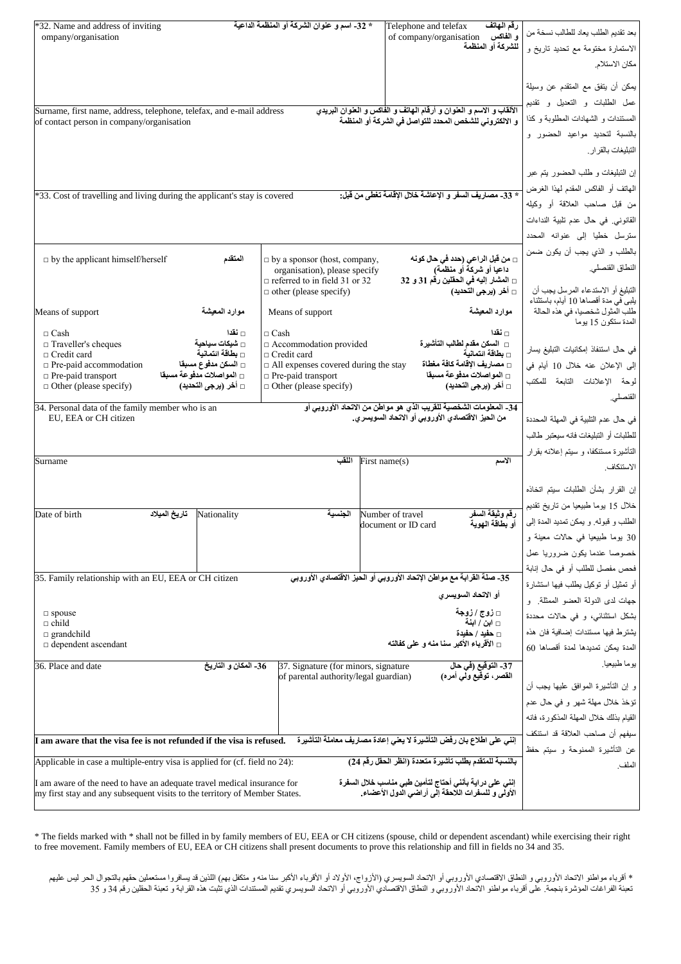| *32. Name and address of inviting                                                                                                                      | * 32_ اسم و عنو ان الشركة أو المنظمة الداعية                         | رقم الهاتف<br>Telephone and telefax                                                                          |                                                          |
|--------------------------------------------------------------------------------------------------------------------------------------------------------|----------------------------------------------------------------------|--------------------------------------------------------------------------------------------------------------|----------------------------------------------------------|
| ompany/organisation                                                                                                                                    |                                                                      | و الفاكس<br>of company/organisation                                                                          | بعد تقديم الطلب يعاد للطالب نسخة من                      |
|                                                                                                                                                        |                                                                      | للشركة أو المنظمة                                                                                            | الاستمارة مختومة مع تحديد تاريخ و                        |
|                                                                                                                                                        |                                                                      |                                                                                                              | مكان الاستلام                                            |
|                                                                                                                                                        |                                                                      |                                                                                                              |                                                          |
|                                                                                                                                                        |                                                                      |                                                                                                              | يمكن أن يتفق مع المتقدم عن وسيلة                         |
|                                                                                                                                                        |                                                                      |                                                                                                              | عمل الطلبات و التعديل و نقديم                            |
| Surname, first name, address, telephone, telefax, and e-mail address                                                                                   |                                                                      | الألقاب و الاسم و العنوان و أرقام الهاتف و الفاكس و العنوان البريدي                                          |                                                          |
| of contact person in company/organisation                                                                                                              |                                                                      | و الالكتروني للشخص المحدد للتواصل في الشركة أو المنظمة                                                       | المستندات و الشهادات المطلوبة و كذا                      |
|                                                                                                                                                        |                                                                      |                                                                                                              | بالنسبة لتحديد مواعيد الحضور و                           |
|                                                                                                                                                        |                                                                      |                                                                                                              | التبليغات بالقر ار                                       |
|                                                                                                                                                        |                                                                      |                                                                                                              |                                                          |
|                                                                                                                                                        |                                                                      |                                                                                                              | إن التبليغات و طلب الحضور يتم عبر                        |
|                                                                                                                                                        |                                                                      | * 33- مصاريف السفر و الإعاشة خلال الإقامة تغطي من قبل:                                                       | المهاتف أو الفاكس المقدم لهذا الغرض                      |
| *33. Cost of travelling and living during the applicant's stay is covered                                                                              |                                                                      |                                                                                                              | من قبل صاحب العلاقة أو وكيله                             |
|                                                                                                                                                        |                                                                      |                                                                                                              | القانوني في حال عدم تلبية النداءات                       |
|                                                                                                                                                        |                                                                      |                                                                                                              |                                                          |
|                                                                                                                                                        |                                                                      |                                                                                                              | سترسل خطيا إلى عنوانه المحدد                             |
| المتقدم                                                                                                                                                |                                                                      | □ من قبل الراعي (حدد في حال كونـ4                                                                            | بالطلب و الذي يجب أن يكون ضمن                            |
| $\Box$ by the applicant himself/herself                                                                                                                | $\Box$ by a sponsor (host, company,<br>organisation), please specify | داعيا أو شركة أو منظمة)                                                                                      | النطاق القنصلي                                           |
|                                                                                                                                                        | $\Box$ referred to in field 31 or 32                                 | □ المشار إليه في الحقلين رقم 31 و 32                                                                         |                                                          |
|                                                                                                                                                        | $\Box$ other (please specify)                                        | □ أخر (يرجى التحديد)                                                                                         | التبليغ أو الاستدعاء المرسل يجب أن                       |
|                                                                                                                                                        |                                                                      |                                                                                                              | يلْبي في مدة أقصـاها 10 أيـام، بـاستثناء                 |
| موارد المعيشة<br>Means of support                                                                                                                      | Means of support                                                     | موارد المعيشة                                                                                                | طلب الْمثول شخصيا، في هذه الحالة<br>المدة ستكون 15 يو ما |
| ∏ نقدا<br>$\Box$ Cash                                                                                                                                  | $\Box$ Cash                                                          | ∏ نقدا                                                                                                       |                                                          |
| □ Traveller's cheques<br>□ شبكات سياحية                                                                                                                | $\Box$ Accommodation provided                                        | □ السكن مقدم لطالب التأشيرة                                                                                  |                                                          |
| □ بطاقة انتمانية<br>$\Box$ Credit card                                                                                                                 | $\Box$ Credit card                                                   | □ بطاقة ائتمانية                                                                                             | في حال استنفاذ إمكانيات التبليغ يسار                     |
| □ السكن مدفوع مسبقا<br>$\Box$ Pre-paid accommodation                                                                                                   | $\Box$ All expenses covered during the stay                          | □ مصاريف الإقامة كافة مغطاة                                                                                  | إلى الإعلان عنه خلال 10 أيام في                          |
| □ المواصلات مدفوعة مسبقا<br>$\Box$ Pre-paid transport<br>□ أخر (يرجى التحديد)<br>$\Box$ Other (please specify)                                         | $\Box$ Pre-paid transport<br>$\Box$ Other (please specify)           | □ المواصلات مدفوعة مسبقا<br>□ أخر (يرجى التحديد)                                                             | لوحة الإعلانات التابعة للمكتب                            |
|                                                                                                                                                        |                                                                      |                                                                                                              | القنصلي.                                                 |
| 34. Personal data of the family member who is an                                                                                                       |                                                                      | 34- المعلومات الشخصية للقريب الذي هو مواطن من الاتحاد الأوروبي أو                                            |                                                          |
| EU, EEA or CH citizen                                                                                                                                  |                                                                      | من الحيز الاقتصادي الأوروبي أو الاتحاد السويسري.                                                             | في حال عدم التلبية في المهلة المحددة                     |
|                                                                                                                                                        |                                                                      |                                                                                                              | للطلبات أو التبليغات فانه سيعتبر طالب                    |
|                                                                                                                                                        |                                                                      |                                                                                                              | التأشيرة مستنكفا، و سيتم إعلانه بقرار                    |
| Surname                                                                                                                                                | اللقب                                                                | الأسم<br>First name(s)                                                                                       |                                                          |
|                                                                                                                                                        |                                                                      |                                                                                                              | الاستنكاف                                                |
|                                                                                                                                                        |                                                                      |                                                                                                              | إن القرار بشأن الطلبات سيتم اتخاذه                       |
|                                                                                                                                                        |                                                                      |                                                                                                              | خلال 15 يوما طبيعيا من تاريخ تقديم                       |
| تاريخ الميلاد<br>Nationality<br>Date of birth                                                                                                          | الجنسية                                                              | Number of travel<br>رقم وثيقة السفر                                                                          |                                                          |
|                                                                                                                                                        |                                                                      |                                                                                                              |                                                          |
|                                                                                                                                                        |                                                                      | أو بطاقة الهوية<br>document or ID card                                                                       | الطلب و قبوله. و يمكن تمديد المدة إلى                    |
|                                                                                                                                                        |                                                                      |                                                                                                              | 30 بوما طبيعيا في حالات معينة و                          |
|                                                                                                                                                        |                                                                      |                                                                                                              | خصوصا عندما يكون ضروريا عمل                              |
|                                                                                                                                                        |                                                                      |                                                                                                              |                                                          |
| 35. Family relationship with an EU, EEA or CH citizen                                                                                                  |                                                                      | 35_ صلة القرابة مع مواطن الإتحاد الأوروبي أو الحيز الاقتصادي الأوروبي                                        | فحص مفصل للطلب أو في حال إنابة                           |
|                                                                                                                                                        |                                                                      |                                                                                                              | أو تمثيل أو توكيل يطلب فيها استشارة                      |
|                                                                                                                                                        |                                                                      | أو الاتحاد السويسر ي                                                                                         | جهات لدى الدولة العضو الممثلة و                          |
| $\square$ spouse                                                                                                                                       |                                                                      | □ زوج/زوجة                                                                                                   | بشكل استثنائي، و في حالات محددة                          |
| $\Box$ child<br>$\Box$ grandchild                                                                                                                      |                                                                      | □ ابن / ابنـه<br>$_$ حفيد / حفيدة                                                                            | يشترط فيها مستندات إضافية فان هذه                        |
| $\Box$ dependent ascendant                                                                                                                             |                                                                      | □ الأقرباء الأكبر سنا منه و على كفالته                                                                       |                                                          |
|                                                                                                                                                        |                                                                      |                                                                                                              | المدة يمكن تمديدها لمدة أقصاها 60                        |
| 36- المكان و التاريخ<br>36. Place and date                                                                                                             | 37. Signature (for minors, signature                                 | 37- التوقيع (في حال                                                                                          | يو ما طبيعيا.                                            |
|                                                                                                                                                        | of parental authority/legal guardian)                                | القصر، توقيع ولى أمره)                                                                                       |                                                          |
|                                                                                                                                                        |                                                                      |                                                                                                              | و إن التأشيرة الموافق عليها يجب أن                       |
|                                                                                                                                                        |                                                                      |                                                                                                              | تؤخذ خلال مهلة شهر و في حال عدم                          |
|                                                                                                                                                        |                                                                      |                                                                                                              | القيام بذلك خلال المهلة المذكورة، فانه                   |
|                                                                                                                                                        |                                                                      |                                                                                                              | سيفهم أن صاحب العلاقة قد استنكف                          |
| I am aware that the visa fee is not refunded if the visa is refused.                                                                                   |                                                                      | إنني على اطلاع بان رفض التأشيرة لا يعني إعادة مصاريف معاملة التأشيرة                                         | عن التأشيرة الممنوحة و سيتم حفظ                          |
| Applicable in case a multiple-entry visa is applied for (cf. field no 24):                                                                             |                                                                      | بالنسبة للمتقدم بطلب تأشيرة متعددة (انظر الحقل رقم 24)                                                       | الملف                                                    |
|                                                                                                                                                        |                                                                      |                                                                                                              |                                                          |
| If am aware of the need to have an adequate travel medical insurance for<br>my first stay and any subsequent visits to the territory of Member States. |                                                                      | إنني على دراية بأنني أحتاج لتأمين طبي مناسب خلال السفرة<br>الأولى و للسفرات اللاحقة إلى أراضي الدول الأعضاء. |                                                          |

\* The fields marked with \* shall not be filled in by family members of EU, EEA or CH citizens (spouse, child or dependent ascendant) while exercising their right to free movement. Family members of EU, EEA or CH citizens shall present documents to prove this relationship and fill in fields no 34 and 35.

\* أقرباء مواطنو الاتحاد الأوروبي و النطلق الاقتصادي الأوروبي أو الأتساد النغر الغربات الأعبر الأكبر سنا منه و متكفل بهم) اللذين قد يسافروا مستعملين حقهم بالتجوال الحر ليس عليهم الذهن المحملين حقهم بالتجوال الحر ليس عليهم تعبئة الفراغات المؤشرة بنجمة. على أقرباء مواطنو الاتحاد الأوروبي الالأوراري الثواد السويسري تقديم المستندات الذي تثبت هذه القرابة و تعبئة الحقلين رقم 34 و 35